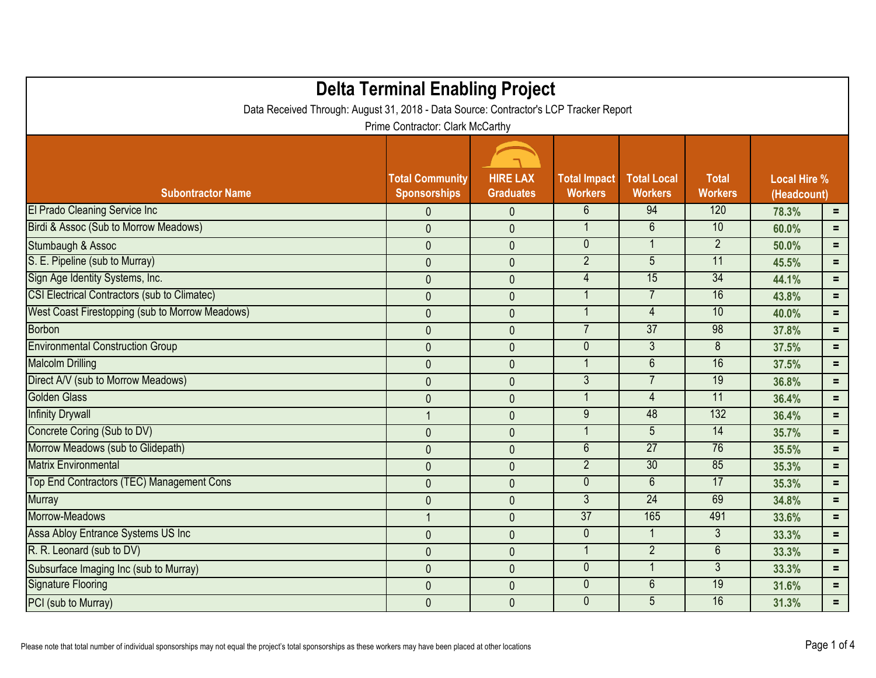| <b>Delta Terminal Enabling Project</b><br>Data Received Through: August 31, 2018 - Data Source: Contractor's LCP Tracker Report<br>Prime Contractor: Clark McCarthy |                                               |                                     |                                       |                                      |                                |                                    |     |
|---------------------------------------------------------------------------------------------------------------------------------------------------------------------|-----------------------------------------------|-------------------------------------|---------------------------------------|--------------------------------------|--------------------------------|------------------------------------|-----|
|                                                                                                                                                                     |                                               |                                     |                                       |                                      |                                |                                    |     |
| <b>Subontractor Name</b>                                                                                                                                            | <b>Total Community</b><br><b>Sponsorships</b> | <b>HIRE LAX</b><br><b>Graduates</b> | <b>Total Impact</b><br><b>Workers</b> | <b>Total Local</b><br><b>Workers</b> | <b>Total</b><br><b>Workers</b> | <b>Local Hire %</b><br>(Headcount) |     |
| El Prado Cleaning Service Inc                                                                                                                                       | $\mathbf{0}$                                  | $\mathbf{0}$                        | 6                                     | 94                                   | 120                            | 78.3%                              | $=$ |
| Birdi & Assoc (Sub to Morrow Meadows)                                                                                                                               | $\mathbf{0}$                                  | $\mathbf 0$                         |                                       | $6\phantom{1}$                       | 10                             | 60.0%                              | $=$ |
| Stumbaugh & Assoc                                                                                                                                                   | $\mathbf{0}$                                  | $\mathbf{0}$                        | $\overline{0}$                        | $\mathbf{1}$                         | $2^{\circ}$                    | 50.0%                              | $=$ |
| S. E. Pipeline (sub to Murray)                                                                                                                                      | $\pmb{0}$                                     | $\pmb{0}$                           | $\overline{2}$                        | $5\overline{)}$                      | 11                             | 45.5%                              | $=$ |
| Sign Age Identity Systems, Inc.                                                                                                                                     | $\mathbf 0$                                   | $\pmb{0}$                           | $\overline{4}$                        | 15                                   | 34                             | 44.1%                              | $=$ |
| <b>CSI Electrical Contractors (sub to Climatec)</b>                                                                                                                 | $\mathbf{0}$                                  | $\mathbf{0}$                        |                                       | $\overline{7}$                       | 16                             | 43.8%                              | $=$ |
| West Coast Firestopping (sub to Morrow Meadows)                                                                                                                     | $\mathbf 0$                                   | $\mathbf 0$                         |                                       | $\overline{4}$                       | 10                             | 40.0%                              | $=$ |
| <b>Borbon</b>                                                                                                                                                       | $\mathbf{0}$                                  | $\mathbf{0}$                        | $\overline{7}$                        | $\overline{37}$                      | 98                             | 37.8%                              | $=$ |
| <b>Environmental Construction Group</b>                                                                                                                             | $\mathbf 0$                                   | $\mathbf 0$                         | $\overline{0}$                        | $\overline{3}$                       | 8                              | 37.5%                              | $=$ |
| <b>Malcolm Drilling</b>                                                                                                                                             | $\mathbf 0$                                   | $\mathbf 0$                         |                                       | $\overline{6}$                       | 16                             | 37.5%                              | $=$ |
| Direct A/V (sub to Morrow Meadows)                                                                                                                                  | $\mathbf 0$                                   | $\mathbf 0$                         | $\overline{3}$                        | $\overline{7}$                       | 19                             | 36.8%                              | $=$ |
| <b>Golden Glass</b>                                                                                                                                                 | $\mathbf 0$                                   | $\mathbf 0$                         | 1                                     | $\overline{4}$                       | 11                             | 36.4%                              | $=$ |
| <b>Infinity Drywall</b>                                                                                                                                             | 1                                             | $\mathbf 0$                         | 9                                     | 48                                   | 132                            | 36.4%                              | $=$ |
| Concrete Coring (Sub to DV)                                                                                                                                         | $\mathbf{0}$                                  | $\mathbf{0}$                        |                                       | $5\overline{)}$                      | 14                             | 35.7%                              | $=$ |
| Morrow Meadows (sub to Glidepath)                                                                                                                                   | $\mathbf{0}$                                  | $\pmb{0}$                           | $6\phantom{1}$                        | 27                                   | 76                             | 35.5%                              | $=$ |
| <b>Matrix Environmental</b>                                                                                                                                         | $\mathbf{0}$                                  | $\pmb{0}$                           | $\overline{2}$                        | 30                                   | 85                             | 35.3%                              | $=$ |
| Top End Contractors (TEC) Management Cons                                                                                                                           | $\mathbf{0}$                                  | $\mathbf{0}$                        | $\mathbf{0}$                          | $6\phantom{1}$                       | 17                             | 35.3%                              | $=$ |
| <b>Murray</b>                                                                                                                                                       | $\mathbf 0$                                   | $\mathbf 0$                         | $\overline{3}$                        | $\overline{24}$                      | 69                             | 34.8%                              | $=$ |
| Morrow-Meadows                                                                                                                                                      |                                               | $\mathbf{0}$                        | $\overline{37}$                       | 165                                  | 491                            | 33.6%                              | $=$ |
| Assa Abloy Entrance Systems US Inc                                                                                                                                  | $\mathbf 0$                                   | $\mathbf 0$                         | $\overline{0}$                        | $\mathbf{1}$                         | 3                              | 33.3%                              | $=$ |
| R. R. Leonard (sub to DV)                                                                                                                                           | $\mathbf 0$                                   | $\pmb{0}$                           |                                       | $\overline{2}$                       | 6                              | 33.3%                              | $=$ |
| Subsurface Imaging Inc (sub to Murray)                                                                                                                              | $\mathbf 0$                                   | $\mathbf 0$                         | $\mathbf{0}$                          | $\mathbf{1}$                         | $\mathfrak{Z}$                 | 33.3%                              | $=$ |
| <b>Signature Flooring</b>                                                                                                                                           | $\mathbf{0}$                                  | $\mathbf 0$                         | $\overline{0}$                        | 6                                    | 19                             | 31.6%                              | $=$ |
| PCI (sub to Murray)                                                                                                                                                 | $\mathbf 0$                                   | $\mathbf 0$                         | $\mathbf{0}$                          | 5                                    | 16                             | 31.3%                              | $=$ |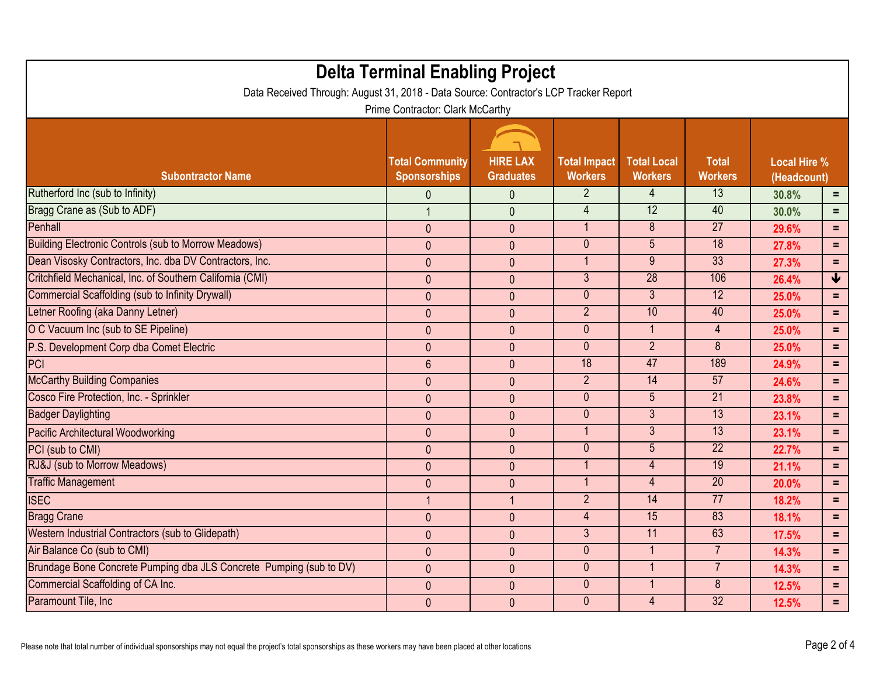| <b>Delta Terminal Enabling Project</b><br>Data Received Through: August 31, 2018 - Data Source: Contractor's LCP Tracker Report |                                               |                                     |                                       |                                      |                                |                                    |                         |
|---------------------------------------------------------------------------------------------------------------------------------|-----------------------------------------------|-------------------------------------|---------------------------------------|--------------------------------------|--------------------------------|------------------------------------|-------------------------|
| Prime Contractor: Clark McCarthy                                                                                                |                                               |                                     |                                       |                                      |                                |                                    |                         |
| <b>Subontractor Name</b>                                                                                                        | <b>Total Community</b><br><b>Sponsorships</b> | <b>HIRE LAX</b><br><b>Graduates</b> | <b>Total Impact</b><br><b>Workers</b> | <b>Total Local</b><br><b>Workers</b> | <b>Total</b><br><b>Workers</b> | <b>Local Hire %</b><br>(Headcount) |                         |
| Rutherford Inc (sub to Infinity)                                                                                                | $\mathbf{0}$                                  | $\mathbf 0$                         | $\overline{2}$                        | 4                                    | 13                             | 30.8%                              | $\equiv$                |
| Bragg Crane as (Sub to ADF)                                                                                                     | $\mathbf{1}$                                  | $\mathbf{0}$                        | $\overline{4}$                        | 12                                   | 40                             | 30.0%                              | $=$                     |
| Penhall                                                                                                                         | $\mathbf{0}$                                  | $\mathbf{0}$                        | $\overline{1}$                        | $\overline{8}$                       | $\overline{27}$                | 29.6%                              | $\equiv$                |
| <b>Building Electronic Controls (sub to Morrow Meadows)</b>                                                                     | $\mathbf{0}$                                  | $\mathbf{0}$                        | $\mathbf{0}$                          | 5 <sup>5</sup>                       | $\overline{18}$                | 27.8%                              | $\equiv$                |
| Dean Visosky Contractors, Inc. dba DV Contractors, Inc.                                                                         | $\mathbf{0}$                                  | $\mathbf{0}$                        | $\mathbf{1}$                          | 9                                    | 33                             | 27.3%                              | $=$                     |
| Critchfield Mechanical, Inc. of Southern California (CMI)                                                                       | $\mathbf{0}$                                  | $\mathbf{0}$                        | $\overline{3}$                        | $\overline{28}$                      | 106                            | 26.4%                              | $\overline{\textbf{V}}$ |
| <b>Commercial Scaffolding (sub to Infinity Drywall)</b>                                                                         | $\mathbf{0}$                                  | $\pmb{0}$                           | $\overline{0}$                        | $\overline{3}$                       | 12                             | 25.0%                              | $\equiv$                |
| Letner Roofing (aka Danny Letner)                                                                                               | $\mathbf{0}$                                  | $\mathbf{0}$                        | $\overline{2}$                        | 10                                   | 40                             | 25.0%                              | $\equiv$                |
| O C Vacuum Inc (sub to SE Pipeline)                                                                                             | $\mathbf{0}$                                  | $\mathbf{0}$                        | $\overline{0}$                        | $\mathbf{1}$                         | $\overline{4}$                 | 25.0%                              | $\equiv$                |
| P.S. Development Corp dba Comet Electric                                                                                        | $\mathbf{0}$                                  | $\mathbf{0}$                        | $\overline{0}$                        | $\overline{2}$                       | $\overline{8}$                 | 25.0%                              | $\equiv$                |
| <b>PCI</b>                                                                                                                      | $6\phantom{1}$                                | $\mathbf{0}$                        | 18                                    | 47                                   | 189                            | 24.9%                              | $\equiv$                |
| <b>McCarthy Building Companies</b>                                                                                              | $\mathbf{0}$                                  | $\mathbf{0}$                        | $\overline{2}$                        | 14                                   | 57                             | 24.6%                              | $=$                     |
| Cosco Fire Protection, Inc. - Sprinkler                                                                                         | $\mathbf{0}$                                  | $\mathbf{0}$                        | $\overline{0}$                        | $\overline{5}$                       | $\overline{21}$                | 23.8%                              | $\equiv$                |
| <b>Badger Daylighting</b>                                                                                                       | $\pmb{0}$                                     | $\pmb{0}$                           | $\mathbf{0}$                          | 3                                    | 13                             | 23.1%                              | $\equiv$                |
| <b>Pacific Architectural Woodworking</b>                                                                                        | $\mathbf{0}$                                  | $\mathbf{0}$                        | $\overline{1}$                        | $\overline{3}$                       | 13                             | 23.1%                              | $\equiv$                |
| PCI (sub to CMI)                                                                                                                | $\mathbf{0}$                                  | $\overline{0}$                      | $\overline{0}$                        | $\overline{5}$                       | $\overline{22}$                | 22.7%                              | $\equiv$                |
| RJ&J (sub to Morrow Meadows)                                                                                                    | $\mathbf{0}$                                  | $\mathbf{0}$                        |                                       | $\overline{4}$                       | 19                             | 21.1%                              | $\equiv$                |
| <b>Traffic Management</b>                                                                                                       | $\mathbf{0}$                                  | $\mathbf{0}$                        |                                       | $\overline{4}$                       | $\overline{20}$                | 20.0%                              | $\equiv$                |
| <b>ISEC</b>                                                                                                                     | $\mathbf{1}$                                  | $\mathbf{1}$                        | $\overline{2}$                        | $\overline{14}$                      | $\overline{77}$                | 18.2%                              | $=$                     |
| <b>Bragg Crane</b>                                                                                                              | $\mathbf{0}$                                  | $\mathbf{0}$                        | $\overline{4}$                        | 15                                   | 83                             | 18.1%                              | $\equiv$                |
| Western Industrial Contractors (sub to Glidepath)                                                                               | $\pmb{0}$                                     | $\mathbf 0$                         | $\overline{3}$                        | 11                                   | 63                             | 17.5%                              | $\equiv$                |
| Air Balance Co (sub to CMI)                                                                                                     | $\mathbf{0}$                                  | $\mathbf{0}$                        | $\mathbf{0}$                          | $\mathbf{1}$                         | $\overline{7}$                 | 14.3%                              | $\equiv$                |
| Brundage Bone Concrete Pumping dba JLS Concrete Pumping (sub to DV)                                                             | $\mathbf{0}$                                  | $\mathbf{0}$                        | $\overline{0}$                        | $\mathbf{1}$                         | $\overline{7}$                 | 14.3%                              | $=$                     |
| Commercial Scaffolding of CA Inc.                                                                                               | $\theta$                                      | $\pmb{0}$                           | $\mathbf{0}$                          | 1                                    | 8                              | 12.5%                              | $=$                     |
| Paramount Tile, Inc.                                                                                                            | $\mathbf{0}$                                  | $\mathbf{0}$                        | $\mathbf{0}$                          | $\overline{4}$                       | $\overline{32}$                | 12.5%                              | $=$                     |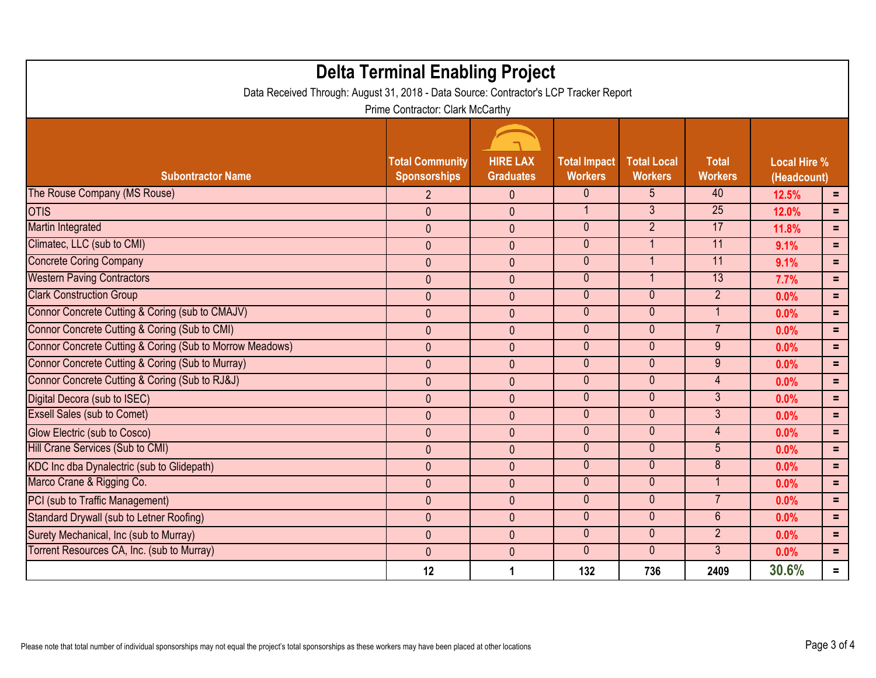| <b>Delta Terminal Enabling Project</b>                                                |                                               |                                     |                                       |                                      |                                |                                    |                |
|---------------------------------------------------------------------------------------|-----------------------------------------------|-------------------------------------|---------------------------------------|--------------------------------------|--------------------------------|------------------------------------|----------------|
| Data Received Through: August 31, 2018 - Data Source: Contractor's LCP Tracker Report | Prime Contractor: Clark McCarthy              |                                     |                                       |                                      |                                |                                    |                |
| <b>Subontractor Name</b>                                                              | <b>Total Community</b><br><b>Sponsorships</b> | <b>HIRE LAX</b><br><b>Graduates</b> | <b>Total Impact</b><br><b>Workers</b> | <b>Total Local</b><br><b>Workers</b> | <b>Total</b><br><b>Workers</b> | <b>Local Hire %</b><br>(Headcount) |                |
| The Rouse Company (MS Rouse)                                                          | $\overline{2}$                                | $\mathbf{0}$                        | $\mathbf{0}$                          | 5                                    | 40                             | 12.5%                              | $\equiv$ .     |
| <b>OTIS</b>                                                                           | $\mathbf{0}$                                  | $\mathbf{0}$                        | $\mathbf{1}$                          | $\overline{3}$                       | $\overline{25}$                | 12.0%                              | $=$            |
| Martin Integrated                                                                     | $\mathbf{0}$                                  | $\mathbf{0}$                        | $\mathbf{0}$                          | $\overline{2}$                       | 17                             | 11.8%                              | $=$            |
| Climatec, LLC (sub to CMI)                                                            | $\mathbf{0}$                                  | $\mathbf{0}$                        | $\overline{0}$                        |                                      | 11                             | 9.1%                               | $=$            |
| <b>Concrete Coring Company</b>                                                        | $\mathbf{0}$                                  | $\mathbf{0}$                        | $\overline{0}$                        |                                      | 11                             | 9.1%                               | $=$            |
| <b>Western Paving Contractors</b>                                                     | $\mathbf{0}$                                  | $\mathbf{0}$                        | $\mathbf{0}$                          |                                      | 13                             | 7.7%                               | $=$            |
| <b>Clark Construction Group</b>                                                       | $\mathbf{0}$                                  | $\mathbf{0}$                        | $\overline{0}$                        | $\overline{0}$                       | $\overline{2}$                 | 0.0%                               | $=$            |
| Connor Concrete Cutting & Coring (sub to CMAJV)                                       | $\mathbf{0}$                                  | $\mathbf{0}$                        | $\mathbf{0}$                          | $\overline{0}$                       | $\mathbf{1}$                   | 0.0%                               | $=$            |
| Connor Concrete Cutting & Coring (Sub to CMI)                                         | $\mathbf{0}$                                  | $\mathbf{0}$                        | $\overline{0}$                        | $\overline{0}$                       | $\overline{7}$                 | 0.0%                               | $=$            |
| Connor Concrete Cutting & Coring (Sub to Morrow Meadows)                              | $\mathbf{0}$                                  | $\mathbf{0}$                        | $\overline{0}$                        | $\mathbf{0}$                         | $9\phantom{.}$                 | 0.0%                               | $=$            |
| Connor Concrete Cutting & Coring (Sub to Murray)                                      | $\mathbf{0}$                                  | $\mathbf{0}$                        | $\overline{0}$                        | $\overline{0}$                       | 9                              | 0.0%                               | $=$            |
| Connor Concrete Cutting & Coring (Sub to RJ&J)                                        | $\mathbf{0}$                                  | $\pmb{0}$                           | $\overline{0}$                        | $\mathbf{0}$                         | $\overline{4}$                 | 0.0%                               | $=$            |
| Digital Decora (sub to ISEC)                                                          | $\mathbf{0}$                                  | $\mathbf{0}$                        | $\mathbf{0}$                          | $\overline{0}$                       | 3 <sup>1</sup>                 | 0.0%                               | $=$            |
| <b>Exsell Sales (sub to Comet)</b>                                                    | $\mathbf{0}$                                  | $\mathbf{0}$                        | $\overline{0}$                        | $\overline{0}$                       | $\overline{3}$                 | 0.0%                               | $=$            |
| Glow Electric (sub to Cosco)                                                          | $\mathbf{0}$                                  | $\mathbf{0}$                        | $\mathbf{0}$                          | $\overline{0}$                       | $\overline{4}$                 | 0.0%                               | $=$            |
| Hill Crane Services (Sub to CMI)                                                      | $\mathbf{0}$                                  | $\mathbf{0}$                        | $\overline{0}$                        | $\overline{0}$                       | $\overline{5}$                 | 0.0%                               | $=$            |
| KDC Inc dba Dynalectric (sub to Glidepath)                                            | $\mathbf{0}$                                  | $\mathbf{0}$                        | $\mathbf{0}$                          | $\mathbf{0}$                         | 8                              | 0.0%                               | $=$            |
| Marco Crane & Rigging Co.                                                             | $\mathbf{0}$                                  | $\mathbf{0}$                        | $\mathbf{0}$                          | $\overline{0}$                       | $\overline{1}$                 | 0.0%                               | $=$            |
| PCI (sub to Traffic Management)                                                       | $\mathbf{0}$                                  | $\mathbf{0}$                        | $\overline{0}$                        | $\overline{0}$                       | $\overline{7}$                 | 0.0%                               | $=$            |
| Standard Drywall (sub to Letner Roofing)                                              | $\mathbf{0}$                                  | $\mathbf{0}$                        | $\overline{0}$                        | $\overline{0}$                       | $6\phantom{a}$                 | 0.0%                               | $=$            |
| Surety Mechanical, Inc (sub to Murray)                                                | $\mathbf{0}$                                  | $\mathbf{0}$                        | $\overline{0}$                        | $\overline{0}$                       | $\overline{2}$                 | 0.0%                               | $=$            |
| Torrent Resources CA, Inc. (sub to Murray)                                            | $\mathbf{0}$                                  | $\mathbf{0}$                        | $\overline{0}$                        | $\overline{0}$                       | 3 <sup>1</sup>                 | 0.0%                               | $=$            |
|                                                                                       | 12                                            | 1                                   | 132                                   | 736                                  | 2409                           | 30.6%                              | $\blacksquare$ |